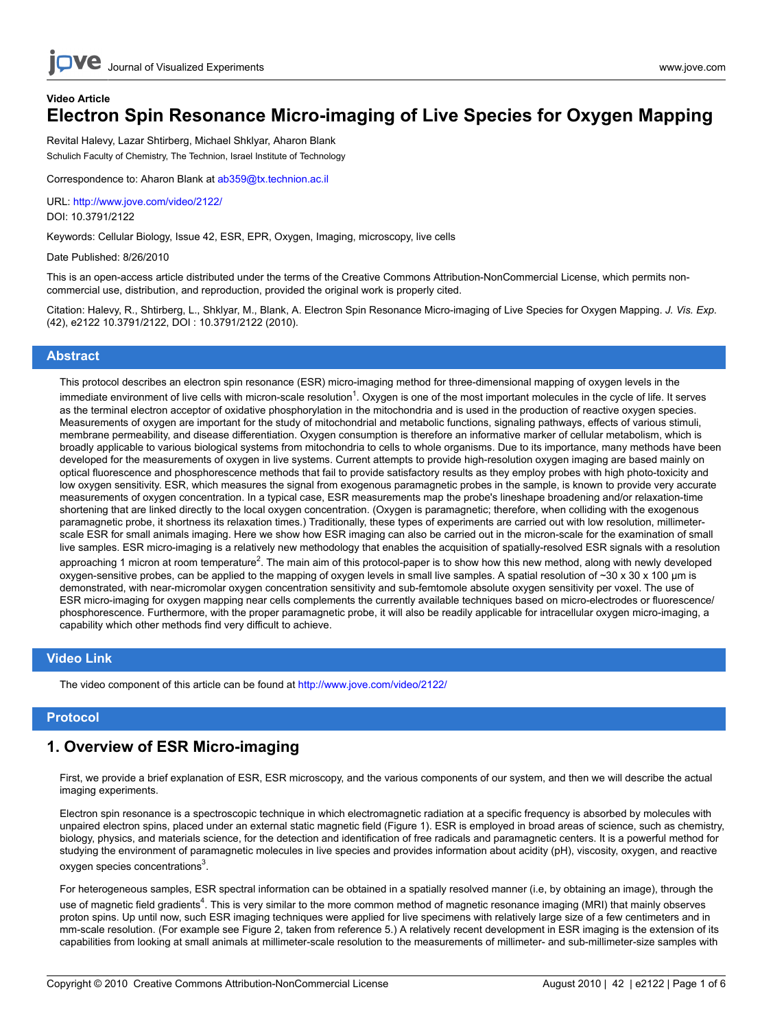## **Video Article Electron Spin Resonance Micro-imaging of Live Species for Oxygen Mapping**

Revital Halevy, Lazar Shtirberg, Michael Shklyar, Aharon Blank Schulich Faculty of Chemistry, The Technion, Israel Institute of Technology

Correspondence to: Aharon Blank at [ab359@tx.technion.ac.il](mailto:ab359@tx.technion.ac.il)

### URL:<http://www.jove.com/video/2122/> DOI: 10.3791/2122

Keywords: Cellular Biology, Issue 42, ESR, EPR, Oxygen, Imaging, microscopy, live cells

#### Date Published: 8/26/2010

This is an open-access article distributed under the terms of the Creative Commons Attribution-NonCommercial License, which permits noncommercial use, distribution, and reproduction, provided the original work is properly cited.

Citation: Halevy, R., Shtirberg, L., Shklyar, M., Blank, A. Electron Spin Resonance Micro-imaging of Live Species for Oxygen Mapping. *J. Vis. Exp.* (42), e2122 10.3791/2122, DOI : 10.3791/2122 (2010).

### **Abstract**

This protocol describes an electron spin resonance (ESR) micro-imaging method for three-dimensional mapping of oxygen levels in the

immediate environment of live cells with micron-scale resolution<sup>1</sup>. Oxygen is one of the most important molecules in the cycle of life. It serves as the terminal electron acceptor of oxidative phosphorylation in the mitochondria and is used in the production of reactive oxygen species. Measurements of oxygen are important for the study of mitochondrial and metabolic functions, signaling pathways, effects of various stimuli, membrane permeability, and disease differentiation. Oxygen consumption is therefore an informative marker of cellular metabolism, which is broadly applicable to various biological systems from mitochondria to cells to whole organisms. Due to its importance, many methods have been developed for the measurements of oxygen in live systems. Current attempts to provide high-resolution oxygen imaging are based mainly on optical fluorescence and phosphorescence methods that fail to provide satisfactory results as they employ probes with high photo-toxicity and low oxygen sensitivity. ESR, which measures the signal from exogenous paramagnetic probes in the sample, is known to provide very accurate measurements of oxygen concentration. In a typical case, ESR measurements map the probe's lineshape broadening and/or relaxation-time shortening that are linked directly to the local oxygen concentration. (Oxygen is paramagnetic; therefore, when colliding with the exogenous paramagnetic probe, it shortness its relaxation times.) Traditionally, these types of experiments are carried out with low resolution, millimeterscale ESR for small animals imaging. Here we show how ESR imaging can also be carried out in the micron-scale for the examination of small live samples. ESR micro-imaging is a relatively new methodology that enables the acquisition of spatially-resolved ESR signals with a resolution approaching 1 micron at room temperature<sup>2</sup>. The main aim of this protocol-paper is to show how this new method, along with newly developed oxygen-sensitive probes, can be applied to the mapping of oxygen levels in small live samples. A spatial resolution of ~30 x 30 x 100 μm is demonstrated, with near-micromolar oxygen concentration sensitivity and sub-femtomole absolute oxygen sensitivity per voxel. The use of ESR micro-imaging for oxygen mapping near cells complements the currently available techniques based on micro-electrodes or fluorescence/ phosphorescence. Furthermore, with the proper paramagnetic probe, it will also be readily applicable for intracellular oxygen micro-imaging, a capability which other methods find very difficult to achieve.

### **Video Link**

The video component of this article can be found at <http://www.jove.com/video/2122/>

### **Protocol**

## **1. Overview of ESR Micro-imaging**

First, we provide a brief explanation of ESR, ESR microscopy, and the various components of our system, and then we will describe the actual imaging experiments.

Electron spin resonance is a spectroscopic technique in which electromagnetic radiation at a specific frequency is absorbed by molecules with unpaired electron spins, placed under an external static magnetic field (Figure 1). ESR is employed in broad areas of science, such as chemistry, biology, physics, and materials science, for the detection and identification of free radicals and paramagnetic centers. It is a powerful method for studying the environment of paramagnetic molecules in live species and provides information about acidity (pH), viscosity, oxygen, and reactive oxygen species concentrations<sup>3</sup>.

For heterogeneous samples, ESR spectral information can be obtained in a spatially resolved manner (i.e, by obtaining an image), through the use of magnetic field gradients<sup>4</sup>. This is very similar to the more common method of magnetic resonance imaging (MRI) that mainly observes proton spins. Up until now, such ESR imaging techniques were applied for live specimens with relatively large size of a few centimeters and in mm-scale resolution. (For example see Figure 2, taken from reference 5.) A relatively recent development in ESR imaging is the extension of its capabilities from looking at small animals at millimeter-scale resolution to the measurements of millimeter- and sub-millimeter-size samples with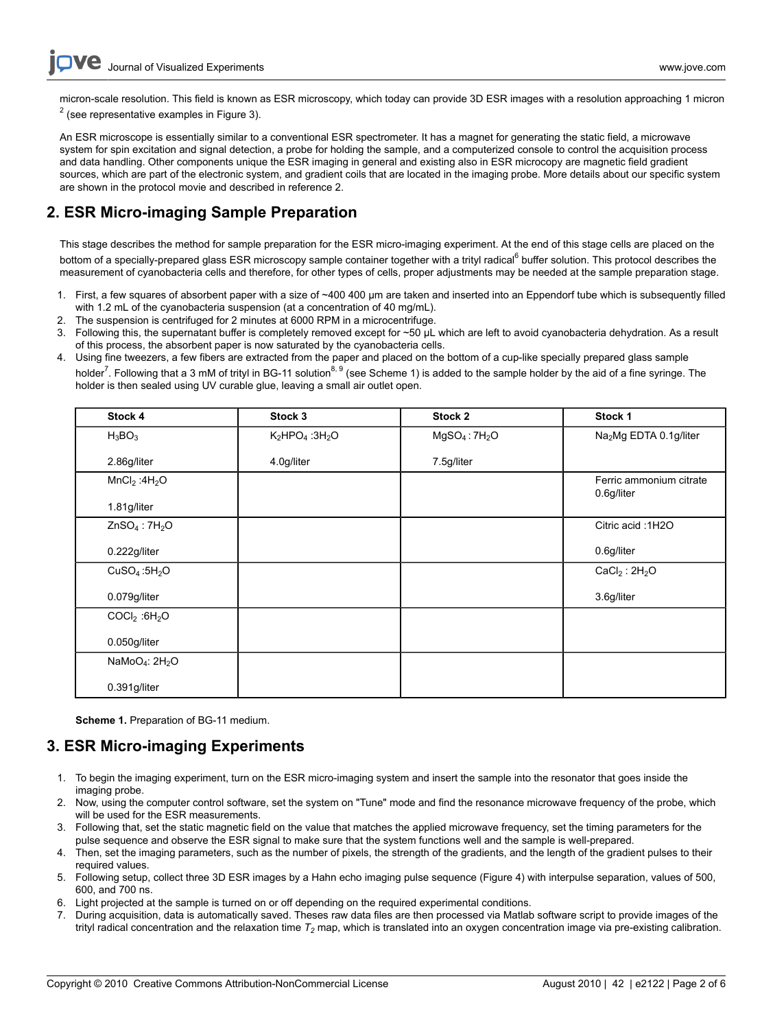micron-scale resolution. This field is known as ESR microscopy, which today can provide 3D ESR images with a resolution approaching 1 micron  $2$  (see representative examples in Figure 3).

An ESR microscope is essentially similar to a conventional ESR spectrometer. It has a magnet for generating the static field, a microwave system for spin excitation and signal detection, a probe for holding the sample, and a computerized console to control the acquisition process and data handling. Other components unique the ESR imaging in general and existing also in ESR microcopy are magnetic field gradient sources, which are part of the electronic system, and gradient coils that are located in the imaging probe. More details about our specific system are shown in the protocol movie and described in reference 2.

# **2. ESR Micro-imaging Sample Preparation**

This stage describes the method for sample preparation for the ESR micro-imaging experiment. At the end of this stage cells are placed on the bottom of a specially-prepared glass ESR microscopy sample container together with a trityl radical<sup>6</sup> buffer solution. This protocol describes the measurement of cyanobacteria cells and therefore, for other types of cells, proper adjustments may be needed at the sample preparation stage.

- 1. First, a few squares of absorbent paper with a size of ~400 400 μm are taken and inserted into an Eppendorf tube which is subsequently filled with 1.2 mL of the cyanobacteria suspension (at a concentration of 40 mg/mL).
- 2. The suspension is centrifuged for 2 minutes at 6000 RPM in a microcentrifuge.
- 3. Following this, the supernatant buffer is completely removed except for ~50 µL which are left to avoid cyanobacteria dehydration. As a result of this process, the absorbent paper is now saturated by the cyanobacteria cells.
- 4. Using fine tweezers, a few fibers are extracted from the paper and placed on the bottom of a cup-like specially prepared glass sample holder<sup>7</sup>. Following that a 3 mM of trityl in BG-11 solution<sup>8, 9</sup> (see Scheme 1) is added to the sample holder by the aid of a fine syringe. The holder is then sealed using UV curable glue, leaving a small air outlet open.

| Stock 4                               | Stock 3                       | Stock 2                              | Stock 1                               |
|---------------------------------------|-------------------------------|--------------------------------------|---------------------------------------|
| $H_3BO_3$                             | $K_2HPO_4$ :3H <sub>2</sub> O | MgSO <sub>4</sub> :7H <sub>2</sub> O | Na <sub>2</sub> Mg EDTA 0.1g/liter    |
| 2.86g/liter                           | 4.0g/liter                    | 7.5g/liter                           |                                       |
| MnCl <sub>2</sub> :4H <sub>2</sub> O  |                               |                                      | Ferric ammonium citrate<br>0.6g/liter |
| 1.81g/liter                           |                               |                                      |                                       |
| ZnSO <sub>4</sub> : 7H <sub>2</sub> O |                               |                                      | Citric acid: 1H2O                     |
| 0.222g/liter                          |                               |                                      | 0.6g/liter                            |
| CuSO <sub>4</sub> :5H <sub>2</sub> O  |                               |                                      | CaCl <sub>2</sub> : 2H <sub>2</sub> O |
| 0.079g/liter                          |                               |                                      | 3.6g/liter                            |
| COCl <sub>2</sub> :6H <sub>2</sub> O  |                               |                                      |                                       |
| 0.050g/liter                          |                               |                                      |                                       |
| NaMoO <sub>4</sub> : $2H_2O$          |                               |                                      |                                       |
| 0.391g/liter                          |                               |                                      |                                       |

**Scheme 1.** Preparation of BG-11 medium.

# **3. ESR Micro-imaging Experiments**

- 1. To begin the imaging experiment, turn on the ESR micro-imaging system and insert the sample into the resonator that goes inside the imaging probe.
- 2. Now, using the computer control software, set the system on "Tune" mode and find the resonance microwave frequency of the probe, which will be used for the ESR measurements.
- 3. Following that, set the static magnetic field on the value that matches the applied microwave frequency, set the timing parameters for the pulse sequence and observe the ESR signal to make sure that the system functions well and the sample is well-prepared.
- 4. Then, set the imaging parameters, such as the number of pixels, the strength of the gradients, and the length of the gradient pulses to their required values.
- 5. Following setup, collect three 3D ESR images by a Hahn echo imaging pulse sequence (Figure 4) with interpulse separation, values of 500, 600, and 700 ns.
- 6. Light projected at the sample is turned on or off depending on the required experimental conditions.
- 7. During acquisition, data is automatically saved. Theses raw data files are then processed via Matlab software script to provide images of the trityl radical concentration and the relaxation time *T2* map, which is translated into an oxygen concentration image via pre-existing calibration.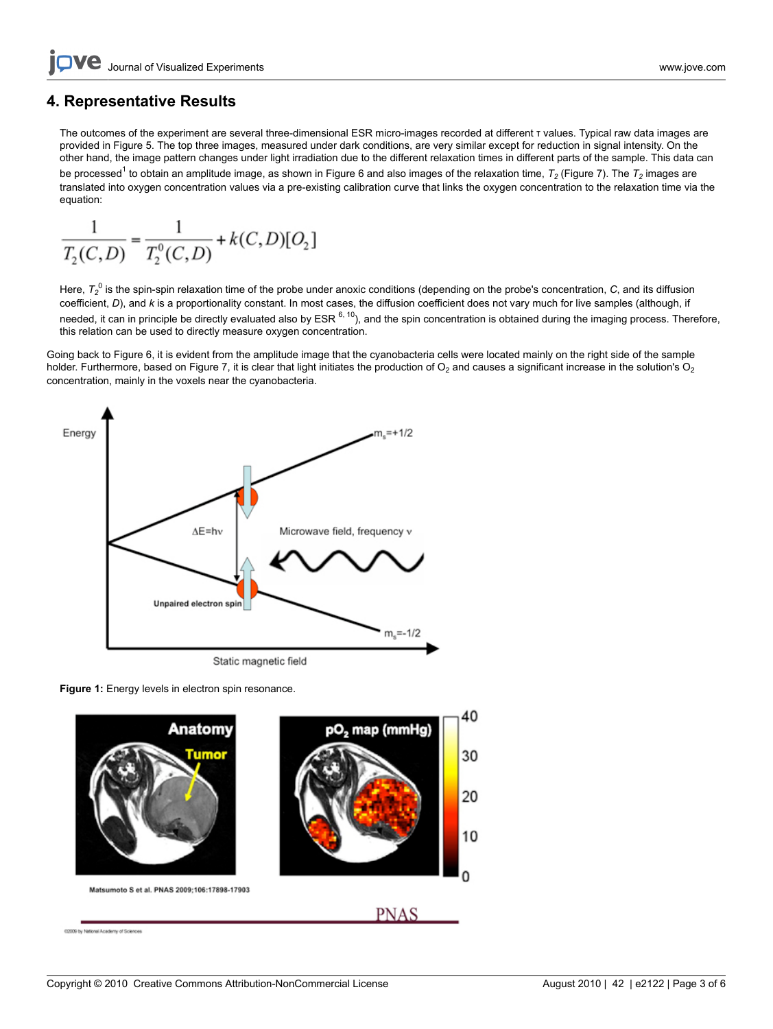## **4. Representative Results**

The outcomes of the experiment are several three-dimensional ESR micro-images recorded at different τ values. Typical raw data images are provided in Figure 5. The top three images, measured under dark conditions, are very similar except for reduction in signal intensity. On the other hand, the image pattern changes under light irradiation due to the different relaxation times in different parts of the sample. This data can be processed<sup>1</sup> to obtain an amplitude image, as shown in Figure 6 and also images of the relaxation time,  $\tau_2$  (Figure 7). The  $\tau_2$  images are translated into oxygen concentration values via a pre-existing calibration curve that links the oxygen concentration to the relaxation time via the equation:

$$
\frac{1}{T_2(C,D)} = \frac{1}{T_2^0(C,D)} + k(C,D)[O_2]
$$

Here,  $T_2^0$  is the spin-spin relaxation time of the probe under anoxic conditions (depending on the probe's concentration, *C*, and its diffusion coefficient, *D*), and *k* is a proportionality constant. In most cases, the diffusion coefficient does not vary much for live samples (although, if needed, it can in principle be directly evaluated also by ESR  $^{6, 10}$ ), and the spin concentration is obtained during the imaging process. Therefore, this relation can be used to directly measure oxygen concentration.

Going back to Figure 6, it is evident from the amplitude image that the cyanobacteria cells were located mainly on the right side of the sample holder. Furthermore, based on Figure 7, it is clear that light initiates the production of  $O<sub>2</sub>$  and causes a significant increase in the solution's  $O<sub>2</sub>$ concentration, mainly in the voxels near the cyanobacteria.



**Figure 1:** Energy levels in electron spin resonance.

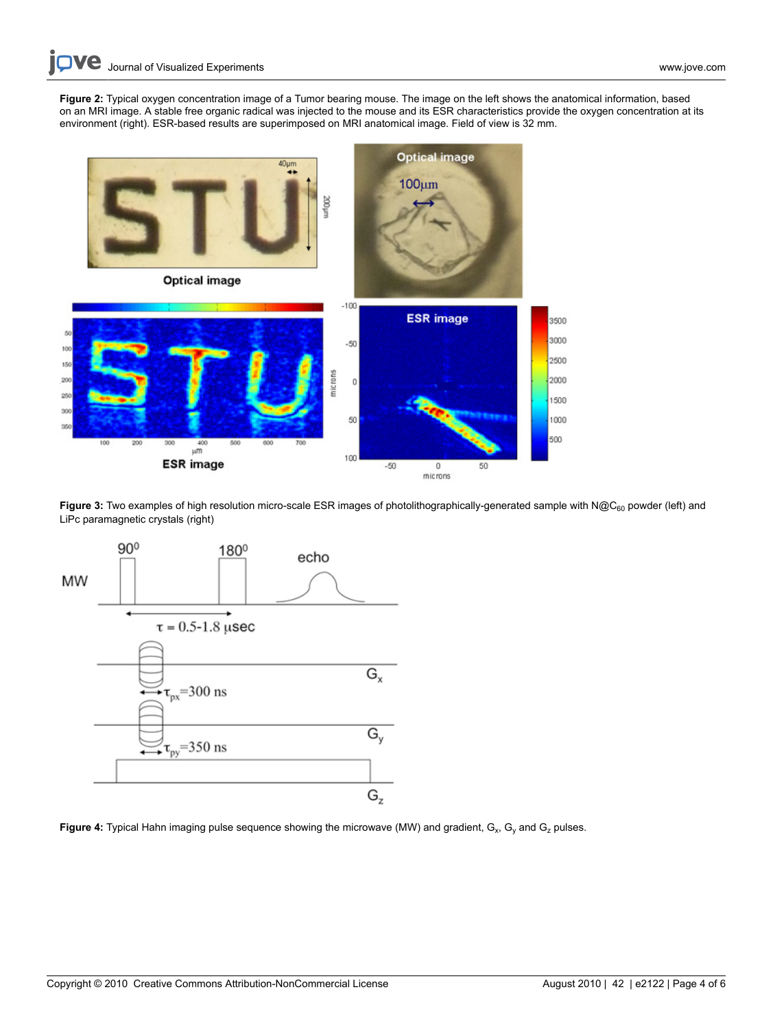**IOVe** [Journal of Visualized Experiments](http://www.jove.com) [www.jove.com](http://www.jove.com)

**Figure 2:** Typical oxygen concentration image of a Tumor bearing mouse. The image on the left shows the anatomical information, based on an MRI image. A stable free organic radical was injected to the mouse and its ESR characteristics provide the oxygen concentration at its environment (right). ESR-based results are superimposed on MRI anatomical image. Field of view is 32 mm.



Figure 3: Two examples of high resolution micro-scale ESR images of photolithographically-generated sample with N@C<sub>60</sub> powder (left) and LiPc paramagnetic crystals (right)



**Figure 4:** Typical Hahn imaging pulse sequence showing the microwave (MW) and gradient,  $\mathsf{G}_{\mathsf{x}},$   $\mathsf{G}_{\mathsf{y}}$  and  $\mathsf{G}_{\mathsf{z}}$  pulses.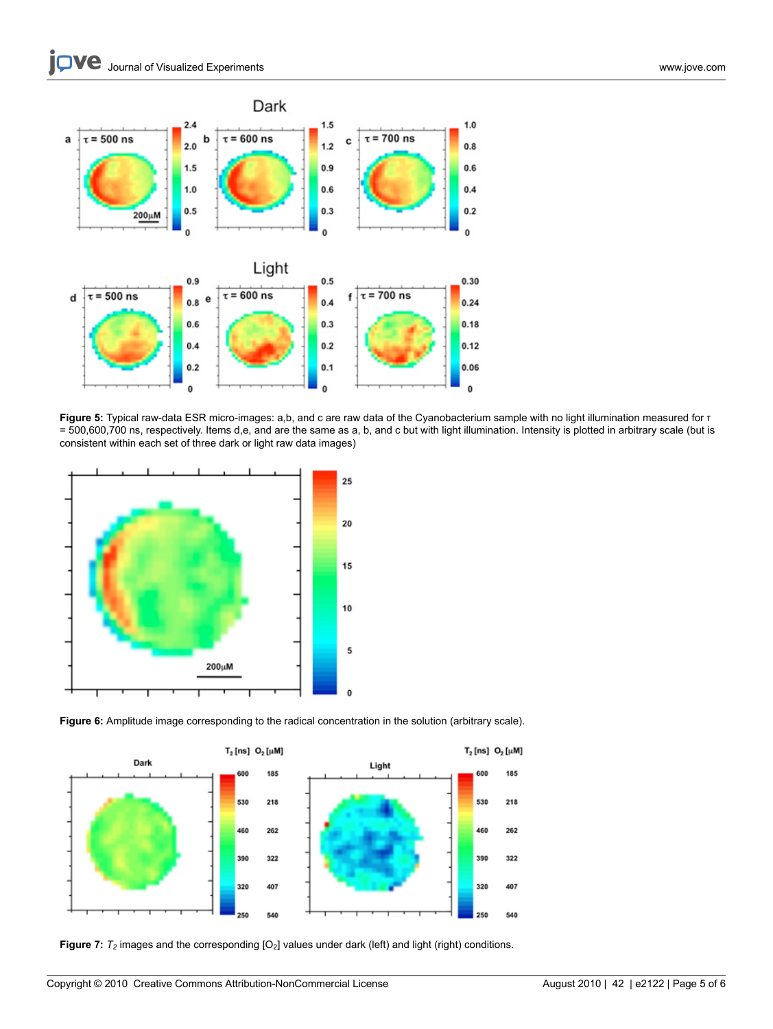



**Figure 5:** Typical raw-data ESR micro-images: a,b, and c are raw data of the Cyanobacterium sample with no light illumination measured for τ = 500,600,700 ns, respectively. Items d,e, and are the same as a, b, and c but with light illumination. Intensity is plotted in arbitrary scale (but is consistent within each set of three dark or light raw data images)







Figure 7:  $T_2$  images and the corresponding [O<sub>2</sub>] values under dark (left) and light (right) conditions.